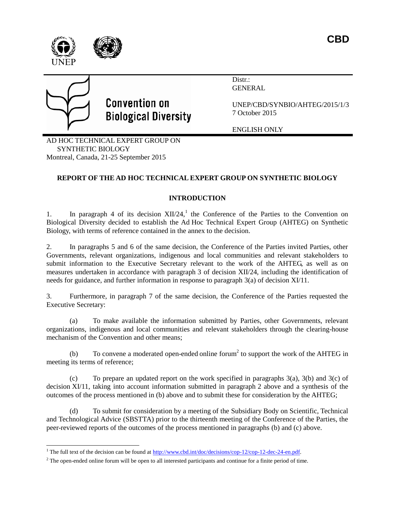



 $\overline{a}$ 

# **Convention on Biological Diversity**

Distr.: GENERAL

UNEP/CBD/SYNBIO/AHTEG/2015/1/3 7 October 2015

ENGLISH ONLY

AD HOC TECHNICAL EXPERT GROUP ON SYNTHETIC BIOLOGY Montreal, Canada, 21-25 September 2015

# **REPORT OF THE AD HOC TECHNICAL EXPERT GROUP ON SYNTHETIC BIOLOGY**

# **INTRODUCTION**

1. In paragraph 4 of its decision  $XII/24$ ,<sup>1</sup> the Conference of the Parties to the Convention on Biological Diversity decided to establish the Ad Hoc Technical Expert Group (AHTEG) on Synthetic Biology, with terms of reference contained in the annex to the decision.

2. In paragraphs 5 and 6 of the same decision, the Conference of the Parties invited Parties, other Governments, relevant organizations, indigenous and local communities and relevant stakeholders to submit information to the Executive Secretary relevant to the work of the AHTEG, as well as on measures undertaken in accordance with paragraph 3 of decision XII/24, including the identification of needs for guidance, and further information in response to paragraph 3(a) of decision XI/11.

3. Furthermore, in paragraph 7 of the same decision, the Conference of the Parties requested the Executive Secretary:

(a) To make available the information submitted by Parties, other Governments, relevant organizations, indigenous and local communities and relevant stakeholders through the clearing-house mechanism of the Convention and other means;

(b) To convene a moderated open-ended online forum<sup>2</sup> to support the work of the AHTEG in meeting its terms of reference;

(c) To prepare an updated report on the work specified in paragraphs  $3(a)$ ,  $3(b)$  and  $3(c)$  of decision XI/11, taking into account information submitted in paragraph 2 above and a synthesis of the outcomes of the process mentioned in (b) above and to submit these for consideration by the AHTEG;

(d) To submit for consideration by a meeting of the Subsidiary Body on Scientific, Technical and Technological Advice (SBSTTA) prior to the thirteenth meeting of the Conference of the Parties, the peer-reviewed reports of the outcomes of the process mentioned in paragraphs (b) and (c) above.

<sup>&</sup>lt;sup>1</sup> The full text of the decision can be found at  $\frac{http://www.cbd.int/doc/decisions/cop-12/cop-12-dec-24-en.pdf.}$ 

<sup>&</sup>lt;sup>2</sup> The open-ended online forum will be open to all interested participants and continue for a finite period of time.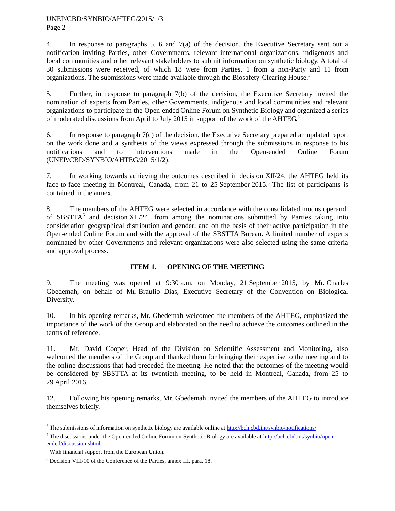Page 2

4. In response to paragraphs 5, 6 and 7(a) of the decision, the Executive Secretary sent out a notification inviting Parties, other Governments, relevant international organizations, indigenous and local communities and other relevant stakeholders to submit information on synthetic biology. A total of 30 submissions were received, of which 18 were from Parties, 1 from a non-Party and 11 from organizations. The submissions were made available through the Biosafety-Clearing House.<sup>3</sup>

5. Further, in response to paragraph 7(b) of the decision, the Executive Secretary invited the nomination of experts from Parties, other Governments, indigenous and local communities and relevant organizations to participate in the Open-ended Online Forum on Synthetic Biology and organized a series of moderated discussions from April to July 2015 in support of the work of the AHTEG.<sup>4</sup>

6. In response to paragraph 7(c) of the decision, the Executive Secretary prepared an updated report on the work done and a synthesis of the views expressed through the submissions in response to his notifications and to interventions made in the Open-ended Online Forum (UNEP/CBD/SYNBIO/AHTEG/2015/1/2).

7. In working towards achieving the outcomes described in decision XII/24, the AHTEG held its face-to-face meeting in Montreal, Canada, from 21 to 25 September 2015.<sup>5</sup> The list of participants is contained in the annex.

8. The members of the AHTEG were selected in accordance with the consolidated modus operandi of SBSTTA<sup>6</sup> and decision XII/24, from among the nominations submitted by Parties taking into consideration geographical distribution and gender; and on the basis of their active participation in the Open-ended Online Forum and with the approval of the SBSTTA Bureau. A limited number of experts nominated by other Governments and relevant organizations were also selected using the same criteria and approval process.

# **ITEM 1. OPENING OF THE MEETING**

9. The meeting was opened at 9:30 a.m. on Monday, 21 September 2015, by Mr. Charles Gbedemah, on behalf of Mr. Braulio Dias, Executive Secretary of the Convention on Biological Diversity.

10. In his opening remarks, Mr. Gbedemah welcomed the members of the AHTEG, emphasized the importance of the work of the Group and elaborated on the need to achieve the outcomes outlined in the terms of reference.

11. Mr. David Cooper, Head of the Division on Scientific Assessment and Monitoring, also welcomed the members of the Group and thanked them for bringing their expertise to the meeting and to the online discussions that had preceded the meeting. He noted that the outcomes of the meeting would be considered by SBSTTA at its twentieth meeting, to be held in Montreal, Canada, from 25 to 29 April 2016.

12. Following his opening remarks, Mr. Gbedemah invited the members of the AHTEG to introduce themselves briefly.

l

<sup>3</sup> The submissions of information on synthetic biology are available online a[t http://bch.cbd.int/synbio/notifications/.](http://bch.cbd.int/synbio/notifications/)

<sup>4</sup> The discussions under the Open-ended Online Forum on Synthetic Biology are available at [http://bch.cbd.int/synbio/open](http://bch.cbd.int/synbio/open-ended/discussion.shtml)[ended/discussion.shtml.](http://bch.cbd.int/synbio/open-ended/discussion.shtml)

<sup>5</sup> With financial support from the European Union.

<sup>6</sup> Decision VIII/10 of the Conference of the Parties, annex III, para. 18.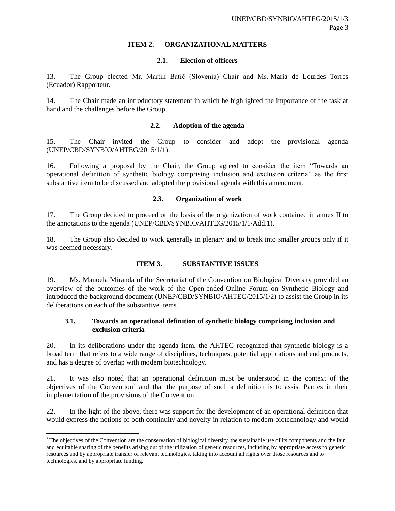# **ITEM 2. ORGANIZATIONAL MATTERS**

# **2.1. Election of officers**

13. The Group elected Mr. Martin Batič (Slovenia) Chair and Ms. Maria de Lourdes Torres (Ecuador) Rapporteur.

14. The Chair made an introductory statement in which he highlighted the importance of the task at hand and the challenges before the Group.

### **2.2. Adoption of the agenda**

15. The Chair invited the Group to consider and adopt the provisional agenda (UNEP/CBD/SYNBIO/AHTEG/2015/1/1).

16. Following a proposal by the Chair, the Group agreed to consider the item "Towards an operational definition of synthetic biology comprising inclusion and exclusion criteria" as the first substantive item to be discussed and adopted the provisional agenda with this amendment.

# **2.3. Organization of work**

17. The Group decided to proceed on the basis of the organization of work contained in annex II to the annotations to the agenda (UNEP/CBD/SYNBIO/AHTEG/2015/1/1/Add.1).

18. The Group also decided to work generally in plenary and to break into smaller groups only if it was deemed necessary.

# **ITEM 3. SUBSTANTIVE ISSUES**

19. Ms. Manoela Miranda of the Secretariat of the Convention on Biological Diversity provided an overview of the outcomes of the work of the Open-ended Online Forum on Synthetic Biology and introduced the background document (UNEP/CBD/SYNBIO/AHTEG/2015/1/2) to assist the Group in its deliberations on each of the substantive items.

# **3.1. Towards an operational definition of synthetic biology comprising inclusion and exclusion criteria**

20. In its deliberations under the agenda item, the AHTEG recognized that synthetic biology is a broad term that refers to a wide range of disciplines, techniques, potential applications and end products, and has a degree of overlap with modern biotechnology.

21. It was also noted that an operational definition must be understood in the context of the objectives of the Convention<sup>7</sup> and that the purpose of such a definition is to assist Parties in their implementation of the provisions of the Convention.

22. In the light of the above, there was support for the development of an operational definition that would express the notions of both continuity and novelty in relation to modern biotechnology and would

l

 $7$  The objectives of the Convention are the conservation of biological diversity, the sustainable use of its components and the fair and equitable sharing of the benefits arising out of the utilization of genetic resources, including by appropriate access to genetic resources and by appropriate transfer of relevant technologies, taking into account all rights over those resources and to technologies, and by appropriate funding.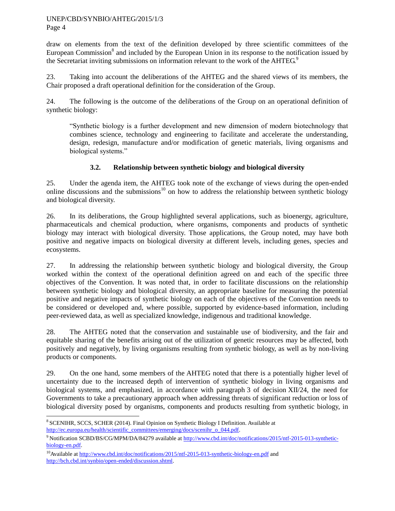Page 4

l

draw on elements from the text of the definition developed by three scientific committees of the European Commission<sup>8</sup> and included by the European Union in its response to the notification issued by the Secretariat inviting submissions on information relevant to the work of the AHTEG.<sup>9</sup>

23. Taking into account the deliberations of the AHTEG and the shared views of its members, the Chair proposed a draft operational definition for the consideration of the Group.

24. The following is the outcome of the deliberations of the Group on an operational definition of synthetic biology:

"Synthetic biology is a further development and new dimension of modern biotechnology that combines science, technology and engineering to facilitate and accelerate the understanding, design, redesign, manufacture and/or modification of genetic materials, living organisms and biological systems."

# **3.2. Relationship between synthetic biology and biological diversity**

25. Under the agenda item, the AHTEG took note of the exchange of views during the open-ended online discussions and the submissions<sup>10</sup> on how to address the relationship between synthetic biology and biological diversity.

26. In its deliberations, the Group highlighted several applications, such as bioenergy, agriculture, pharmaceuticals and chemical production, where organisms, components and products of synthetic biology may interact with biological diversity. Those applications, the Group noted, may have both positive and negative impacts on biological diversity at different levels, including genes, species and ecosystems.

27. In addressing the relationship between synthetic biology and biological diversity, the Group worked within the context of the operational definition agreed on and each of the specific three objectives of the Convention. It was noted that, in order to facilitate discussions on the relationship between synthetic biology and biological diversity, an appropriate baseline for measuring the potential positive and negative impacts of synthetic biology on each of the objectives of the Convention needs to be considered or developed and, where possible, supported by evidence-based information, including peer-reviewed data, as well as specialized knowledge, indigenous and traditional knowledge.

28. The AHTEG noted that the conservation and sustainable use of biodiversity, and the fair and equitable sharing of the benefits arising out of the utilization of genetic resources may be affected, both positively and negatively, by living organisms resulting from synthetic biology, as well as by non-living products or components.

29. On the one hand, some members of the AHTEG noted that there is a potentially higher level of uncertainty due to the increased depth of intervention of synthetic biology in living organisms and biological systems, and emphasized, in accordance with paragraph 3 of decision XII/24, the need for Governments to take a precautionary approach when addressing threats of significant reduction or loss of biological diversity posed by organisms, components and products resulting from synthetic biology, in

<sup>8</sup> SCENIHR, SCCS, SCHER (2014). Final Opinion on Synthetic Biology I Definition. Available at [http://ec.europa.eu/health/scientific\\_committees/emerging/docs/scenihr\\_o\\_044.pdf.](http://ec.europa.eu/health/scientific_committees/emerging/docs/scenihr_o_044.pdf)

<sup>9</sup> Notification SCBD/BS/CG/MPM/DA/84279 available a[t http://www.cbd.int/doc/notifications/2015/ntf-2015-013-synthetic](http://www.cbd.int/doc/notifications/2015/ntf-2015-013-synthetic-biology-en.pdf)[biology-en.pdf.](http://www.cbd.int/doc/notifications/2015/ntf-2015-013-synthetic-biology-en.pdf)

<sup>&</sup>lt;sup>10</sup>Available at<http://www.cbd.int/doc/notifications/2015/ntf-2015-013-synthetic-biology-en.pdf> and [http://bch.cbd.int/synbio/open-ended/discussion.shtml.](http://bch.cbd.int/synbio/open-ended/discussion.shtml)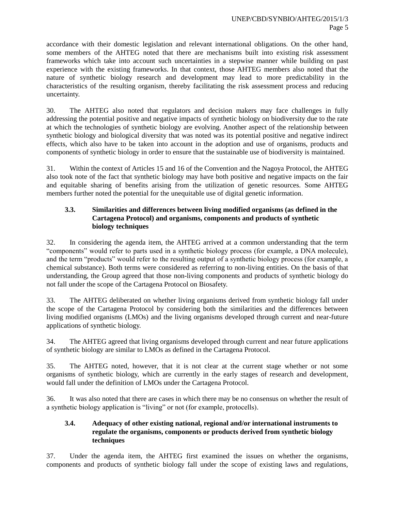accordance with their domestic legislation and relevant international obligations. On the other hand, some members of the AHTEG noted that there are mechanisms built into existing risk assessment frameworks which take into account such uncertainties in a stepwise manner while building on past experience with the existing frameworks. In that context, those AHTEG members also noted that the nature of synthetic biology research and development may lead to more predictability in the characteristics of the resulting organism, thereby facilitating the risk assessment process and reducing uncertainty.

30. The AHTEG also noted that regulators and decision makers may face challenges in fully addressing the potential positive and negative impacts of synthetic biology on biodiversity due to the rate at which the technologies of synthetic biology are evolving. Another aspect of the relationship between synthetic biology and biological diversity that was noted was its potential positive and negative indirect effects, which also have to be taken into account in the adoption and use of organisms, products and components of synthetic biology in order to ensure that the sustainable use of biodiversity is maintained.

31. Within the context of Articles 15 and 16 of the Convention and the Nagoya Protocol, the AHTEG also took note of the fact that synthetic biology may have both positive and negative impacts on the fair and equitable sharing of benefits arising from the utilization of genetic resources. Some AHTEG members further noted the potential for the unequitable use of digital genetic information.

# **3.3. Similarities and differences between living modified organisms (as defined in the Cartagena Protocol) and organisms, components and products of synthetic biology techniques**

32. In considering the agenda item, the AHTEG arrived at a common understanding that the term "components" would refer to parts used in a synthetic biology process (for example, a DNA molecule), and the term "products" would refer to the resulting output of a synthetic biology process (for example, a chemical substance). Both terms were considered as referring to non-living entities. On the basis of that understanding, the Group agreed that those non-living components and products of synthetic biology do not fall under the scope of the Cartagena Protocol on Biosafety.

33. The AHTEG deliberated on whether living organisms derived from synthetic biology fall under the scope of the Cartagena Protocol by considering both the similarities and the differences between living modified organisms (LMOs) and the living organisms developed through current and near-future applications of synthetic biology.

34. The AHTEG agreed that living organisms developed through current and near future applications of synthetic biology are similar to LMOs as defined in the Cartagena Protocol.

35. The AHTEG noted, however, that it is not clear at the current stage whether or not some organisms of synthetic biology, which are currently in the early stages of research and development, would fall under the definition of LMOs under the Cartagena Protocol.

36. It was also noted that there are cases in which there may be no consensus on whether the result of a synthetic biology application is "living" or not (for example, protocells).

# **3.4. Adequacy of other existing national, regional and/or international instruments to regulate the organisms, components or products derived from synthetic biology techniques**

37. Under the agenda item, the AHTEG first examined the issues on whether the organisms, components and products of synthetic biology fall under the scope of existing laws and regulations,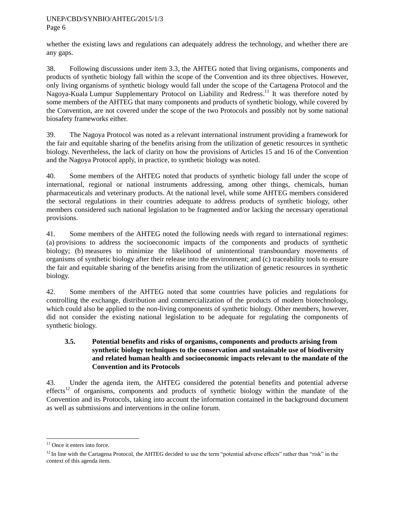Page 6

whether the existing laws and regulations can adequately address the technology, and whether there are any gaps.

38. Following discussions under item 3.3, the AHTEG noted that living organisms, components and products of synthetic biology fall within the scope of the Convention and its three objectives. However, only living organisms of synthetic biology would fall under the scope of the Cartagena Protocol and the Nagoya-Kuala Lumpur Supplementary Protocol on Liability and Redress.<sup>11</sup> It was therefore noted by some members of the AHTEG that many components and products of synthetic biology, while covered by the Convention, are not covered under the scope of the two Protocols and possibly not by some national biosafety frameworks either.

39. The Nagoya Protocol was noted as a relevant international instrument providing a framework for the fair and equitable sharing of the benefits arising from the utilization of genetic resources in synthetic biology. Nevertheless, the lack of clarity on how the provisions of Articles 15 and 16 of the Convention and the Nagoya Protocol apply, in practice, to synthetic biology was noted.

40. Some members of the AHTEG noted that products of synthetic biology fall under the scope of international, regional or national instruments addressing, among other things, chemicals, human pharmaceuticals and veterinary products. At the national level, while some AHTEG members considered the sectoral regulations in their countries adequate to address products of synthetic biology, other members considered such national legislation to be fragmented and/or lacking the necessary operational provisions.

41. Some members of the AHTEG noted the following needs with regard to international regimes: (a) provisions to address the socioeconomic impacts of the components and products of synthetic biology; (b) measures to minimize the likelihood of unintentional transboundary movements of organisms of synthetic biology after their release into the environment; and (c) traceability tools to ensure the fair and equitable sharing of the benefits arising from the utilization of genetic resources in synthetic biology.

42. Some members of the AHTEG noted that some countries have policies and regulations for controlling the exchange, distribution and commercialization of the products of modern biotechnology, which could also be applied to the non-living components of synthetic biology. Other members, however, did not consider the existing national legislation to be adequate for regulating the components of synthetic biology.

# **3.5. Potential benefits and risks of organisms, components and products arising from synthetic biology techniques to the conservation and sustainable use of biodiversity and related human health and socioeconomic impacts relevant to the mandate of the Convention and its Protocols**

43. Under the agenda item, the AHTEG considered the potential benefits and potential adverse effects<sup>12</sup> of organisms, components and products of synthetic biology within the mandate of the Convention and its Protocols, taking into account the information contained in the background document as well as submissions and interventions in the online forum.

l  $11$  Once it enters into force.

 $12$  In line with the Cartagena Protocol, the AHTEG decided to use the term "potential adverse effects" rather than "risk" in the context of this agenda item.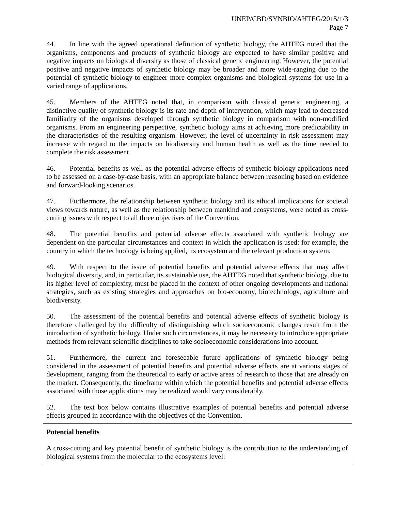44. In line with the agreed operational definition of synthetic biology, the AHTEG noted that the organisms, components and products of synthetic biology are expected to have similar positive and negative impacts on biological diversity as those of classical genetic engineering. However, the potential positive and negative impacts of synthetic biology may be broader and more wide-ranging due to the potential of synthetic biology to engineer more complex organisms and biological systems for use in a varied range of applications.

45. Members of the AHTEG noted that, in comparison with classical genetic engineering, a distinctive quality of synthetic biology is its rate and depth of intervention, which may lead to decreased familiarity of the organisms developed through synthetic biology in comparison with non-modified organisms. From an engineering perspective, synthetic biology aims at achieving more predictability in the characteristics of the resulting organism. However, the level of uncertainty in risk assessment may increase with regard to the impacts on biodiversity and human health as well as the time needed to complete the risk assessment.

46. Potential benefits as well as the potential adverse effects of synthetic biology applications need to be assessed on a case-by-case basis, with an appropriate balance between reasoning based on evidence and forward-looking scenarios.

47. Furthermore, the relationship between synthetic biology and its ethical implications for societal views towards nature, as well as the relationship between mankind and ecosystems, were noted as crosscutting issues with respect to all three objectives of the Convention.

48. The potential benefits and potential adverse effects associated with synthetic biology are dependent on the particular circumstances and context in which the application is used: for example, the country in which the technology is being applied, its ecosystem and the relevant production system.

49. With respect to the issue of potential benefits and potential adverse effects that may affect biological diversity, and, in particular, its sustainable use, the AHTEG noted that synthetic biology, due to its higher level of complexity, must be placed in the context of other ongoing developments and national strategies, such as existing strategies and approaches on bio-economy, biotechnology, agriculture and biodiversity.

50. The assessment of the potential benefits and potential adverse effects of synthetic biology is therefore challenged by the difficulty of distinguishing which socioeconomic changes result from the introduction of synthetic biology. Under such circumstances, it may be necessary to introduce appropriate methods from relevant scientific disciplines to take socioeconomic considerations into account.

51. Furthermore, the current and foreseeable future applications of synthetic biology being considered in the assessment of potential benefits and potential adverse effects are at various stages of development, ranging from the theoretical to early or active areas of research to those that are already on the market. Consequently, the timeframe within which the potential benefits and potential adverse effects associated with those applications may be realized would vary considerably.

52. The text box below contains illustrative examples of potential benefits and potential adverse effects grouped in accordance with the objectives of the Convention.

# **Potential benefits**

A cross-cutting and key potential benefit of synthetic biology is the contribution to the understanding of biological systems from the molecular to the ecosystems level: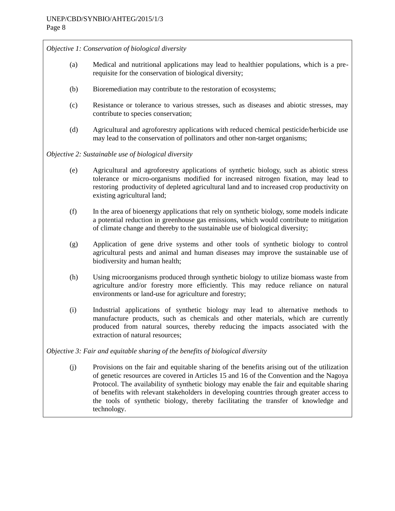*Objective 1: Conservation of biological diversity*

- (a) Medical and nutritional applications may lead to healthier populations, which is a prerequisite for the conservation of biological diversity;
- (b) Bioremediation may contribute to the restoration of ecosystems;
- (c) Resistance or tolerance to various stresses, such as diseases and abiotic stresses, may contribute to species conservation;
- (d) Agricultural and agroforestry applications with reduced chemical pesticide/herbicide use may lead to the conservation of pollinators and other non-target organisms;

*Objective 2: Sustainable use of biological diversity*

- (e) Agricultural and agroforestry applications of synthetic biology, such as abiotic stress tolerance or micro-organisms modified for increased nitrogen fixation, may lead to restoring productivity of depleted agricultural land and to increased crop productivity on existing agricultural land;
- (f) In the area of bioenergy applications that rely on synthetic biology, some models indicate a potential reduction in greenhouse gas emissions, which would contribute to mitigation of climate change and thereby to the sustainable use of biological diversity;
- (g) Application of gene drive systems and other tools of synthetic biology to control agricultural pests and animal and human diseases may improve the sustainable use of biodiversity and human health;
- (h) Using microorganisms produced through synthetic biology to utilize biomass waste from agriculture and/or forestry more efficiently. This may reduce reliance on natural environments or land-use for agriculture and forestry;
- (i) Industrial applications of synthetic biology may lead to alternative methods to manufacture products, such as chemicals and other materials, which are currently produced from natural sources, thereby reducing the impacts associated with the extraction of natural resources;

*Objective 3: Fair and equitable sharing of the benefits of biological diversity* 

(j) Provisions on the fair and equitable sharing of the benefits arising out of the utilization of genetic resources are covered in Articles 15 and 16 of the Convention and the Nagoya Protocol. The availability of synthetic biology may enable the fair and equitable sharing of benefits with relevant stakeholders in developing countries through greater access to the tools of synthetic biology, thereby facilitating the transfer of knowledge and technology.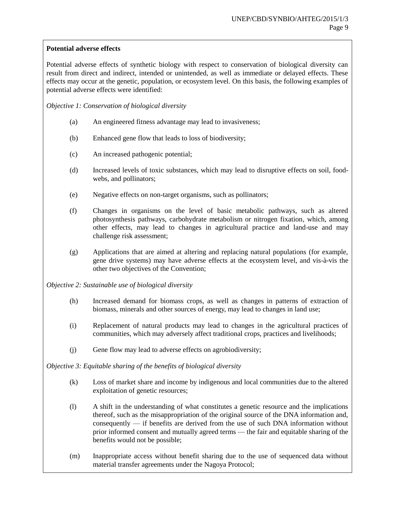# **Potential adverse effects**

Potential adverse effects of synthetic biology with respect to conservation of biological diversity can result from direct and indirect, intended or unintended, as well as immediate or delayed effects. These effects may occur at the genetic, population, or ecosystem level. On this basis, the following examples of potential adverse effects were identified:

# *Objective 1: Conservation of biological diversity*

- (a) An engineered fitness advantage may lead to invasiveness;
- (b) Enhanced gene flow that leads to loss of biodiversity;
- (c) An increased pathogenic potential;
- (d) Increased levels of toxic substances, which may lead to disruptive effects on soil, foodwebs, and pollinators;
- (e) Negative effects on non-target organisms, such as pollinators;
- (f) Changes in organisms on the level of basic metabolic pathways, such as altered photosynthesis pathways, carbohydrate metabolism or nitrogen fixation, which, among other effects, may lead to changes in agricultural practice and land-use and may challenge risk assessment;
- (g) Applications that are aimed at altering and replacing natural populations (for example, gene drive systems) may have adverse effects at the ecosystem level, and vis-à-vis the other two objectives of the Convention;
- *Objective 2: Sustainable use of biological diversity*
	- (h) Increased demand for biomass crops, as well as changes in patterns of extraction of biomass, minerals and other sources of energy, may lead to changes in land use;
	- (i) Replacement of natural products may lead to changes in the agricultural practices of communities, which may adversely affect traditional crops, practices and livelihoods;
	- (j) Gene flow may lead to adverse effects on agrobiodiversity;

*Objective 3: Equitable sharing of the benefits of biological diversity*

- (k) Loss of market share and income by indigenous and local communities due to the altered exploitation of genetic resources;
- (l) A shift in the understanding of what constitutes a genetic resource and the implications thereof, such as the misappropriation of the original source of the DNA information and, consequently — if benefits are derived from the use of such DNA information without prior informed consent and mutually agreed terms — the fair and equitable sharing of the benefits would not be possible;
- (m) Inappropriate access without benefit sharing due to the use of sequenced data without material transfer agreements under the Nagoya Protocol;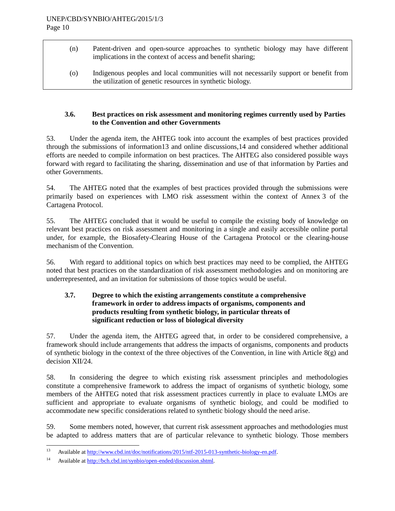- (n) Patent-driven and open-source approaches to synthetic biology may have different implications in the context of access and benefit sharing;
	- (o) Indigenous peoples and local communities will not necessarily support or benefit from the utilization of genetic resources in synthetic biology.

# **3.6. Best practices on risk assessment and monitoring regimes currently used by Parties to the Convention and other Governments**

53. Under the agenda item, the AHTEG took into account the examples of best practices provided through the submissions of information13 and online discussions,14 and considered whether additional efforts are needed to compile information on best practices. The AHTEG also considered possible ways forward with regard to facilitating the sharing, dissemination and use of that information by Parties and other Governments.

54. The AHTEG noted that the examples of best practices provided through the submissions were primarily based on experiences with LMO risk assessment within the context of Annex 3 of the Cartagena Protocol.

55. The AHTEG concluded that it would be useful to compile the existing body of knowledge on relevant best practices on risk assessment and monitoring in a single and easily accessible online portal under, for example, the Biosafety-Clearing House of the Cartagena Protocol or the clearing-house mechanism of the Convention.

56. With regard to additional topics on which best practices may need to be complied, the AHTEG noted that best practices on the standardization of risk assessment methodologies and on monitoring are underrepresented, and an invitation for submissions of those topics would be useful.

# **3.7. Degree to which the existing arrangements constitute a comprehensive framework in order to address impacts of organisms, components and products resulting from synthetic biology, in particular threats of significant reduction or loss of biological diversity**

57. Under the agenda item, the AHTEG agreed that, in order to be considered comprehensive, a framework should include arrangements that address the impacts of organisms, components and products of synthetic biology in the context of the three objectives of the Convention, in line with Article 8(g) and decision XII/24.

58. In considering the degree to which existing risk assessment principles and methodologies constitute a comprehensive framework to address the impact of organisms of synthetic biology, some members of the AHTEG noted that risk assessment practices currently in place to evaluate LMOs are sufficient and appropriate to evaluate organisms of synthetic biology, and could be modified to accommodate new specific considerations related to synthetic biology should the need arise.

59. Some members noted, however, that current risk assessment approaches and methodologies must be adapted to address matters that are of particular relevance to synthetic biology. Those members

 $13$ <sup>13</sup> Available at [http://www.cbd.int/doc/notifications/2015/ntf-2015-013-synthetic-biology-en.pdf.](http://www.cbd.int/doc/notifications/2015/ntf-2015-013-synthetic-biology-en.pdf)

<sup>14</sup> Available at [http://bch.cbd.int/synbio/open-ended/discussion.shtml.](http://bch.cbd.int/synbio/open-ended/discussion.shtml)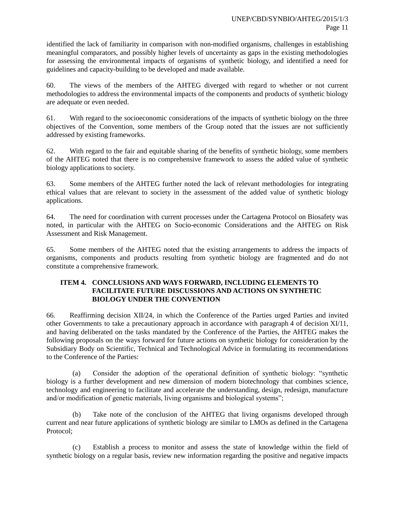identified the lack of familiarity in comparison with non-modified organisms, challenges in establishing meaningful comparators, and possibly higher levels of uncertainty as gaps in the existing methodologies for assessing the environmental impacts of organisms of synthetic biology, and identified a need for guidelines and capacity-building to be developed and made available.

60. The views of the members of the AHTEG diverged with regard to whether or not current methodologies to address the environmental impacts of the components and products of synthetic biology are adequate or even needed.

61. With regard to the socioeconomic considerations of the impacts of synthetic biology on the three objectives of the Convention, some members of the Group noted that the issues are not sufficiently addressed by existing frameworks.

62. With regard to the fair and equitable sharing of the benefits of synthetic biology, some members of the AHTEG noted that there is no comprehensive framework to assess the added value of synthetic biology applications to society.

63. Some members of the AHTEG further noted the lack of relevant methodologies for integrating ethical values that are relevant to society in the assessment of the added value of synthetic biology applications.

64. The need for coordination with current processes under the Cartagena Protocol on Biosafety was noted, in particular with the AHTEG on Socio-economic Considerations and the AHTEG on Risk Assessment and Risk Management.

65. Some members of the AHTEG noted that the existing arrangements to address the impacts of organisms, components and products resulting from synthetic biology are fragmented and do not constitute a comprehensive framework.

# **ITEM 4. CONCLUSIONS AND WAYS FORWARD, INCLUDING ELEMENTS TO FACILITATE FUTURE DISCUSSIONS AND ACTIONS ON SYNTHETIC BIOLOGY UNDER THE CONVENTION**

66. Reaffirming decision XII/24, in which the Conference of the Parties urged Parties and invited other Governments to take a precautionary approach in accordance with paragraph 4 of decision XI/11, and having deliberated on the tasks mandated by the Conference of the Parties, the AHTEG makes the following proposals on the ways forward for future actions on synthetic biology for consideration by the Subsidiary Body on Scientific, Technical and Technological Advice in formulating its recommendations to the Conference of the Parties:

(a) Consider the adoption of the operational definition of synthetic biology: "synthetic biology is a further development and new dimension of modern biotechnology that combines science, technology and engineering to facilitate and accelerate the understanding, design, redesign, manufacture and/or modification of genetic materials, living organisms and biological systems";

(b) Take note of the conclusion of the AHTEG that living organisms developed through current and near future applications of synthetic biology are similar to LMOs as defined in the Cartagena Protocol;

Establish a process to monitor and assess the state of knowledge within the field of synthetic biology on a regular basis, review new information regarding the positive and negative impacts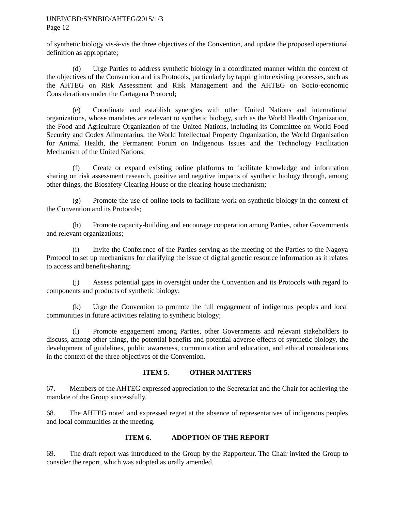of synthetic biology vis-à-vis the three objectives of the Convention, and update the proposed operational definition as appropriate;

(d) Urge Parties to address synthetic biology in a coordinated manner within the context of the objectives of the Convention and its Protocols, particularly by tapping into existing processes, such as the AHTEG on Risk Assessment and Risk Management and the AHTEG on Socio-economic Considerations under the Cartagena Protocol;

(e) Coordinate and establish synergies with other United Nations and international organizations, whose mandates are relevant to synthetic biology, such as the World Health Organization, the Food and Agriculture Organization of the United Nations, including its Committee on World Food Security and Codex Alimentarius, the World Intellectual Property Organization, the World Organisation for Animal Health, the Permanent Forum on Indigenous Issues and the Technology Facilitation Mechanism of the United Nations;

(f) Create or expand existing online platforms to facilitate knowledge and information sharing on risk assessment research, positive and negative impacts of synthetic biology through, among other things, the Biosafety-Clearing House or the clearing-house mechanism;

(g) Promote the use of online tools to facilitate work on synthetic biology in the context of the Convention and its Protocols;

(h) Promote capacity-building and encourage cooperation among Parties, other Governments and relevant organizations;

(i) Invite the Conference of the Parties serving as the meeting of the Parties to the Nagoya Protocol to set up mechanisms for clarifying the issue of digital genetic resource information as it relates to access and benefit-sharing;

(j) Assess potential gaps in oversight under the Convention and its Protocols with regard to components and products of synthetic biology;

(k) Urge the Convention to promote the full engagement of indigenous peoples and local communities in future activities relating to synthetic biology;

(l) Promote engagement among Parties, other Governments and relevant stakeholders to discuss, among other things, the potential benefits and potential adverse effects of synthetic biology, the development of guidelines, public awareness, communication and education, and ethical considerations in the context of the three objectives of the Convention.

# **ITEM 5. OTHER MATTERS**

67. Members of the AHTEG expressed appreciation to the Secretariat and the Chair for achieving the mandate of the Group successfully.

68. The AHTEG noted and expressed regret at the absence of representatives of indigenous peoples and local communities at the meeting.

# **ITEM 6. ADOPTION OF THE REPORT**

69. The draft report was introduced to the Group by the Rapporteur. The Chair invited the Group to consider the report, which was adopted as orally amended.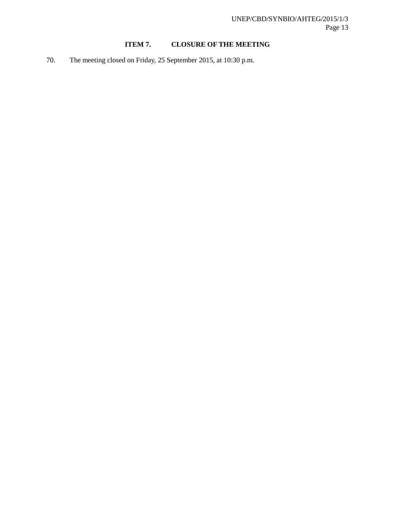# **ITEM 7. CLOSURE OF THE MEETING**

70. The meeting closed on Friday, 25 September 2015, at 10:30 p.m.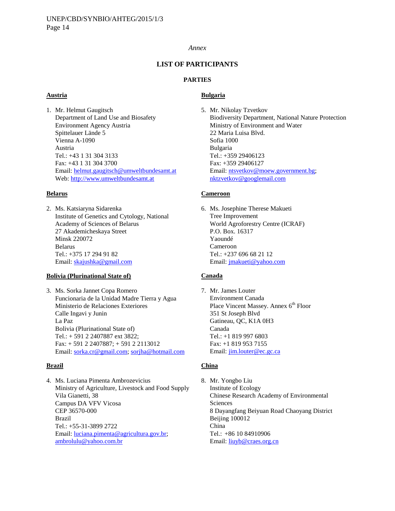#### *Annex*

### **LIST OF PARTICIPANTS**

#### **PARTIES**

#### **Austria**

1. Mr. Helmut Gaugitsch Department of Land Use and Biosafety Environment Agency Austria Spittelauer Lände 5 Vienna A-1090 Austria Tel.: +43 1 31 304 3133 Fax: +43 1 31 304 3700 Email: [helmut.gaugitsch@umweltbundesamt.at](https://www.cbd.int/doc/meetings/synbio/synbioahteg-2015-01/AppData/Local/Microsoft/Windows/Temporary%20Internet%20Files/Content.Outlook/AppData/Local/AppData/Local/Microsoft/Windows/Temporary%20Internet%20Files/Content.Outlook/AppData/Local/Microsoft/Windows/Temporary%20Internet%20Files/Content.Outlook/AppData/Local/Microsoft/Windows/Temporary%20Internet%20Files/Content.Outlook/DWP45FUU/helmut.gaugitsch@umweltbundesamt.at) Web: [http://www.umweltbundesamt.at](http://www.umweltbundesamt.at/)

#### **Belarus**

2. Ms. Katsiaryna Sidarenka Institute of Genetics and Cytology, National Academy of Sciences of Belarus 27 Akademicheskaya Street Minsk 220072 Belarus Tel.: +375 17 294 91 82 Email: [skajushka@gmail.com](mailto:skajushka@gmail.com)

#### **Bolivia (Plurinational State of)**

3. Ms. Sorka Jannet Copa Romero Funcionaria de la Unidad Madre Tierra y Agua Ministerio de Relaciones Exteriores Calle Ingavi y Junin La Paz Bolivia (Plurinational State of) Tel.: + 591 2 2407887 ext 3822; Fax: + 591 2 2407887; + 591 2 2113012 Email: [sorka.cr@gmail.com;](mailto:sorka.cr@gmail.com) [sorjha@hotmail.com](mailto:sorjha@hotmail.com)

#### **Brazil**

4. Ms. Luciana Pimenta Ambrozevicius Ministry of Agriculture, Livestock and Food Supply Vila Gianetti, 38 Campus DA VFV Vicosa CEP 36570-000 Brazil Tel.: +55-31-3899 2722 Email: [luciana.pimenta@agricultura.gov.br;](mailto:luciana.pimenta@agricultura.gov.br) [ambrolulu@yahoo.com.br](mailto:ambrolulu@yahoo.com.br)

#### **Bulgaria**

5. Mr. Nikolay Tzvetkov Biodiversity Department, National Nature Protection Ministry of Environment and Water 22 Maria Luisa Blvd. Sofia 1000 Bulgaria Tel.: +359 29406123 Fax: +359 29406127 Email: [ntsvetkov@moew.government.bg;](mailto:ntsvetkov@moew.government.bg) [nktzvetkov@googlemail.com](mailto:nktzvetkov@googlemail.com)

#### **Cameroon**

6. Ms. Josephine Therese Makueti Tree Improvement World Agroforestry Centre (ICRAF) P.O. Box. 16317 Yaoundé Cameroon Tel.: +237 696 68 21 12 Email: [jmakueti@yahoo.com](mailto:jmakueti@yahoo.com)

#### **Canada**

7. Mr. James Louter Environment Canada Place Vincent Massey. Annex 6<sup>th</sup> Floor 351 St Joseph Blvd Gatineau, QC, K1A 0H3 Canada Tel.: +1 819 997 6803 Fax: +1 819 953 7155 Email: [jim.louter@ec.gc.ca](mailto:jim.louter@ec.gc.ca)

#### **China**

8. Mr. Yongbo Liu Institute of Ecology Chinese Research Academy of Environmental Sciences 8 Dayangfang Beiyuan Road Chaoyang District Beijing 100012 China Tel.: +86 10 84910906 Email: [liuyb@craes.org.cn](mailto:liuyb@craes.org.cn)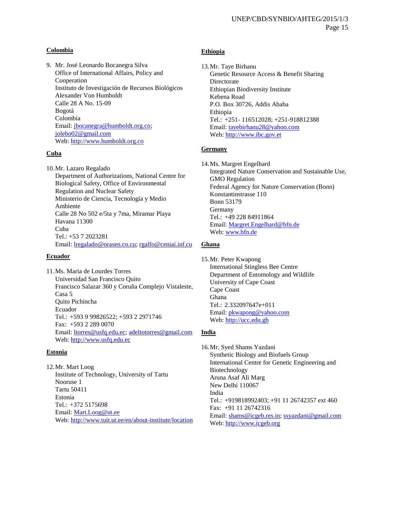#### **Colombia**

9. Mr. José Leonardo Bocanegra Silva Office of International Affairs, Policy and Cooperation Instituto de Investigación de Recursos Biológicos Alexander Von Humboldt Calle 28 A No. 15-09 Bogotá Colombia Email: [jbocanegra@humboldt.org.co;](mailto:jbocanegra@humboldt.org.co) [jolebo02@gmail.com](mailto:jolebo02@gmail.com) Web: [http://www.humboldt.org.co](http://www.humboldt.org.co/)

#### **Cuba**

10.Mr. Lazaro Regalado Department of Authorizations, National Centre for Biological Safety, Office of Environmental Regulation and Nuclear Safety Ministerio de Ciencia, Tecnología y Medio Ambiente Calle 28 No 502 e/5ta y 7ma, Miramar Playa Havana 11300 Cuba Tel.: +53 7 2023281 Email: [lregalado@orasen.co.cu;](mailto:lregalado@orasen.co.cu) [rgalfo@ceniai.inf.cu](mailto:rgalfo@ceniai.inf.cu)

#### **Ecuador**

11.Ms. Maria de Lourdes Torres Universidad San Francisco Quito Francisco Salazar 360 y Coruña Complejo Vistaleste, Casa 5 Quito Pichincha Ecuador Tel.: +593 9 99826522; +593 2 2971746 Fax: +593 2 289 0070 Email: [ltorres@usfq.edu.ec;](mailto:ltorres@usfq.edu.ec) [adeltotorres@gmail.com](mailto:adeltotorres@gmail.com) Web: [http://www.usfq.edu.ec](http://www.usfq.edu.ec/)

#### **Estonia**

12.Mr. Mart Loog Institute of Technology, University of Tartu Nooruse 1 Tartu 50411 Estonia Tel.: +372 5175698 Email: [Mart.Loog@ut.ee](mailto:Mart.Loog@ut.ee) Web:<http://www.tuit.ut.ee/en/about-institute/location>

#### **Ethiopia**

13.Mr. Taye Birhanu Genetic Resource Access & Benefit Sharing Directorate Ethiopian Biodiversity Institute Kebena Road P.O. Box 30726, Addis Ababa Ethiopia Tel.: +251- 116512028; +251-918812388 Email: [tayebirhanu28@yahoo.com](mailto:tayebirhanu28@yahoo.com) Web[: http://www.ibc.gov.et](http://www.ibc.gov.et/)

#### **Germany**

14.Ms. Margret Engelhard

Integrated Nature Conservation and Sustainable Use, GMO Regulation Federal Agency for Nature Conservation (Bonn) Konstantinstrasse 110 Bonn 53179 Germany Tel.: +49 228 84911864 Email: [Margret.Engelhard@bfn.de](mailto:Margret.Engelhard@bfn.de) Web[: www.bfn.de](http://www.bfn.de/)

#### **Ghana**

15.Mr. Peter Kwapong International Stingless Bee Centre Department of Entomology and Wildlife University of Cape Coast Cape Coast Ghana Tel.: 2.332097647e+011 Email: [pkwapong@yahoo.com](mailto:pkwapong@yahoo.com) Web[: http://ucc.edu.gh](http://ucc.edu.gh/)

#### **India**

16.Mr. Syed Shams Yazdani Synthetic Biology and Biofuels Group International Centre for Genetic Engineering and Biotechnology Aruna Asaf Ali Marg New Delhi 110067 India Tel.: +919818992403; +91 11 26742357 ext 460 Fax: +91 11 26742316 Email: [shams@icgeb.res.in;](mailto:shams@icgeb.res.in) [ssyazdani@gmail.com](mailto:ssyazdani@gmail.com) Web[: http://www.icgeb.org](http://www.icgeb.org/)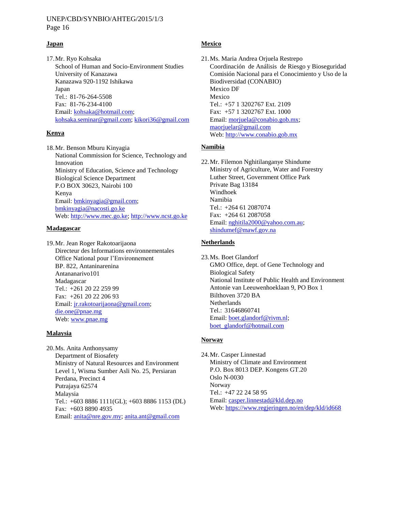Page 16

#### **Japan**

17.Mr. Ryo Kohsaka School of Human and Socio-Environment Studies University of Kanazawa Kanazawa 920-1192 Ishikawa Japan Tel.: 81-76-264-5508 Fax: 81-76-234-4100 Email: [kohsaka@hotmail.com;](mailto:kohsaka@hotmail.com) [kohsaka.seminar@gmail.com;](mailto:kohsaka.seminar@gmail.com) [kikori36@gmail.com](mailto:kikori36@gmail.com)

### **Kenya**

18.Mr. Benson Mburu Kinyagia National Commission for Science, Technology and Innovation Ministry of Education, Science and Technology Biological Science Department P.O BOX 30623, Nairobi 100 Kenya Email: [bmkinyagia@gmail.com;](mailto:bmkinyagia@gmail.com) [bmkinyagia@nacosti.go.ke](mailto:bmkinyagia@nacosti.go.ke) Web: [http://www.mec.go.ke;](http://www.mec.go.ke/) [http://www.ncst.go.ke](http://www.ncst.go.ke/)

#### **Madagascar**

19.Mr. Jean Roger Rakotoarijaona Directeur des Informations environnementales Office National pour l'Environnement BP. 822, Antaninarenina Antananarivo101 Madagascar Tel.: +261 20 22 259 99 Fax: +261 20 22 206 93 Email: [jr.rakotoarijaona@gmail.com;](mailto:jr.rakotoarijaona@gmail.com) [die.one@pnae.mg](mailto:die.one@pnae.mg) Web: [www.pnae.mg](http://www.pnae.mg/)

#### **Malaysia**

20.Ms. Anita Anthonysamy Department of Biosafety Ministry of Natural Resources and Environment Level 1, Wisma Sumber Asli No. 25, Persiaran Perdana, Precinct 4 Putrajaya 62574 Malaysia Tel.: +603 8886 1111(GL); +603 8886 1153 (DL) Fax: +603 8890 4935 Email: [anita@nre.gov.my;](mailto:anita@nre.gov.my) [anita.ant@gmail.com](mailto:anita.ant@gmail.com)

#### **Mexico**

21.Ms. Maria Andrea Orjuela Restrepo Coordinación de Análisis de Riesgo y Bioseguridad Comisión Nacional para el Conocimiento y Uso de la Biodiversidad (CONABIO) Mexico DF Mexico Tel.: +57 1 3202767 Ext. 2109 Fax: +57 1 3202767 Ext. 1000 Email: [morjuela@conabio.gob.mx;](mailto:morjuela@conabio.gob.mx) [maorjuelar@gmail.com](mailto:maorjuelar@gmail.com) Web[: http://www.conabio.gob.mx](http://www.conabio.gob.mx/)

#### **Namibia**

22.Mr. Filemon Nghitilanganye Shindume Ministry of Agriculture, Water and Forestry Luther Street, Government Office Park Private Bag 13184 Windhoek Namibia Tel.: +264 61 2087074 Fax: +264 61 2087058 Email: [nghitila2000@yahoo.com.au;](mailto:nghitila2000@yahoo.com.au) [shindumef@mawf.gov.na](mailto:shindumef@mawf.gov.na)

#### **Netherlands**

23.Ms. Boet Glandorf GMO Office, dept. of Gene Technology and Biological Safety National Institute of Public Health and Environment Antonie van Leeuwenhoeklaan 9, PO Box 1 Bilthoven 3720 BA **Netherlands** Tel.: 31646860741 Email: [boet.glandorf@rivm.nl;](mailto:boet.glandorf@rivm.nl) [boet\\_glandorf@hotmail.com](mailto:boet_glandorf@hotmail.com)

# **Norway**

24.Mr. Casper Linnestad Ministry of Climate and Environment P.O. Box 8013 DEP. Kongens GT.20 Oslo N-0030 Norway Tel.: +47 22 24 58 95 Email: [casper.linnestad@kld.dep.no](mailto:casper.linnestad@kld.dep.no) Web[: https://www.regjeringen.no/en/dep/kld/id668](https://www.regjeringen.no/en/dep/kld/id668/)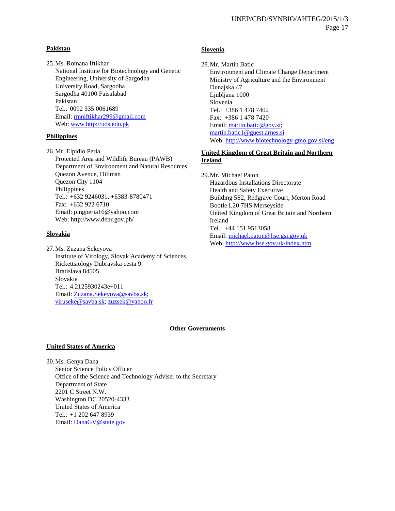#### **Pakistan**

25.Ms. Romana Iftikhar National Institute for Biotechnology and Genetic Engineering, University of Sargodha University Road, Sargodha Sargodha 40100 Faisalabad Pakistan Tel.: 0092 335 0061689 Email: mniftikhar299@gmail.com Web: [www.http://uos.edu.pk](http://www.http/uos.edu.pk)

#### **Philippines**

26.Mr. Elpidio Peria Protected Area and Wildlife Bureau (PAWB) Department of Environment and Natural Resources Quezon Avenue, Diliman Quezon City 1104 Philippines Tel.: +632 9246031, +6383-8780471 Fax: +632 922 6710 Email: pingperia16@yahoo.com Web: http://www.denr.gov.ph/

#### **Slovakia**

27.Ms. Zuzana Sekeyova Institute of Virology, Slovak Academy of Sciences Rickettsiology Dubravska cesta 9 Bratislava 84505 Slovakia Tel.: 4.2125930243e+011 Email: [Zuzana.Sekeyova@savba.sk;](mailto:Zuzana.Sekeyova@savba.sk) [viruseke@savba.sk;](mailto:viruseke@savba.sk) [zuzsek@yahoo.fr](mailto:zuzsek@yahoo.fr)

### **Slovenia**

28.Mr. Martin Batic Environment and Climate Change Department Ministry of Agriculture and the Environment Dunajska 47 Ljubljana 1000 Slovenia Tel.: +386 1 478 7402 Fax: +386 1 478 7420 Email: [martin.batic@gov.si;](mailto:martin.batic@gov.si) [martin.batic1@guest.arnes.si](mailto:martin.batic1@guest.arnes.si) Web[: http://www.biotechnology-gmo.gov.si/eng](http://www.biotechnology-gmo.gov.si/eng)

### **United Kingdom of Great Britain and Northern Ireland**

29.Mr. Michael Paton Hazardous Installations Directorate Health and Safety Executive Building 5S2, Redgrave Court, Merton Road Bootle L20 7HS Merseyside United Kingdom of Great Britain and Northern Ireland Tel.: +44 151 9513058 Email: [michael.paton@hse.gsi.gov.uk](mailto:michael.paton@hse.gsi.gov.uk) Web[: http://www.hse.gov.uk/index.htm](http://www.hse.gov.uk/index.htm)

#### **Other Governments**

#### **United States of America**

30.Ms. Genya Dana Senior Science Policy Officer Office of the Science and Technology Adviser to the Secretary Department of State 2201 C Street N.W. Washington DC 20520-4333 United States of America Tel.: +1 202 647 8939 Email: [DanaGV@state.gov](mailto:DanaGV@state.gov)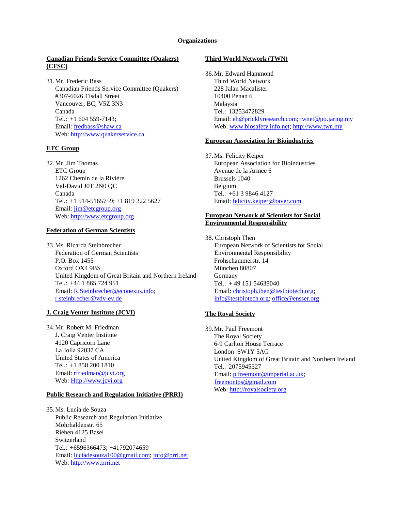#### **Organizations**

#### **Canadian Friends Service Committee (Quakers) (CFSC)**

31.Mr. Frederic Bass Canadian Friends Service Committee (Quakers) #307-6026 Tisdall Street Vancouver, BC, V5Z 3N3 Canada Tel.: +1 604 559-7143; Email: [fredbass@shaw.ca](mailto:fredbass@shaw.ca) Web: [http://www.quakerservice.ca](http://www.quakerservice.ca/)

#### **ETC Group**

32.Mr. Jim Thomas ETC Group 1262 Chemin de la Rivière Val-David J0T 2N0 QC Canada Tel.: +1 514-5165759; +1 819 322 5627 Email: [jim@etcgroup.org](mailto:jim@etcgroup.org) Web: [http://www.etcgroup.org](http://www.etcgroup.org/)

#### **Federation of German Scientists**

33.Ms. Ricarda Steinbrecher Federation of German Scientists P.O. Box 1455 Oxford OX4 9BS United Kingdom of Great Britain and Northern Ireland Tel.: +44 1 865 724 951 Email: [R.Steinbrecher@econexus.info;](mailto:R.Steinbrecher@econexus.info) [r.steinbrecher@vdv-ev.de](mailto:r.steinbrecher@vdv-ev.de)

#### **J. Craig Venter Institute (JCVI)**

34.Mr. Robert M. Friedman J. Craig Venter Institute 4120 Capricorn Lane La Jolla 92037 CA United States of America Tel.: +1 858 200 1810 Email: [rfriedman@jcvi.org](mailto:rfriedman@jcvi.org) Web: [Http://www.jcvi.org](http://www.jcvi.org/)

#### **Public Research and Regulation Initiative (PRRI)**

35.Ms. Lucia de Souza Public Research and Regulation Initiative Mohrhaldenstr. 65 Riehen 4125 Basel Switzerland Tel.: +6596366473; +41792074659 Email: [luciadesouza100@gmail.com;](mailto:luciadesouza100@gmail.com) [info@prri.net](mailto:info@prri.net) Web: [http://www.prri.net](http://www.prri.net/)

#### **Third World Network (TWN)**

36.Mr. Edward Hammond Third World Network 228 Jalan Macalister 10400 Penan 6 Malaysia Tel.: 13253472829 Email[: eh@pricklyresearch.com;](mailto:eh@pricklyresearch.com) [twnet@po.jaring.my](mailto:twnet@po.jaring.my) Web: [www.biosafety.info.net;](http://www.biosafety.info.net/) [http://www.twn.my](http://www.twn.my/)

#### **European Association for Bioindustries**

37.Ms. Felicity Keiper European Association for Bioindustries Avenue de la Armee 6 Brussels 1040 Belgium Tel.: +61 3 9846 4127 Email[: felicity.keiper@bayer.com](mailto:felicity.keiper@bayer.com)

#### **European Network of Scientists for Social Environmental Responsibility**

38. Christoph Then European Network of Scientists for Social Environmental Responsibility Frohschammerstr. 14 München 80807 Germany Tel.: + 49 151 54638040 Email: [christoph.then@testbiotech.org;](mailto:christoph.then@testbiotech.org) [info@testbiotech.org;](mailto:info@testbiotech.org) [office@ensser.org](mailto:office@ensser.org)

#### **The Royal Society**

39.Mr. Paul Freemont The Royal Society 6-9 Carlton House Terrace London SW1Y 5AG United Kingdom of Great Britain and Northern Ireland Tel.: 2075945327 Email: [p.freemont@imperial.ac.uk;](mailto:p.freemont@imperial.ac.uk) [freemontps@gmail.com](mailto:freemontps@gmail.com) Web: [http://royalsociety.org](http://royalsociety.org/)